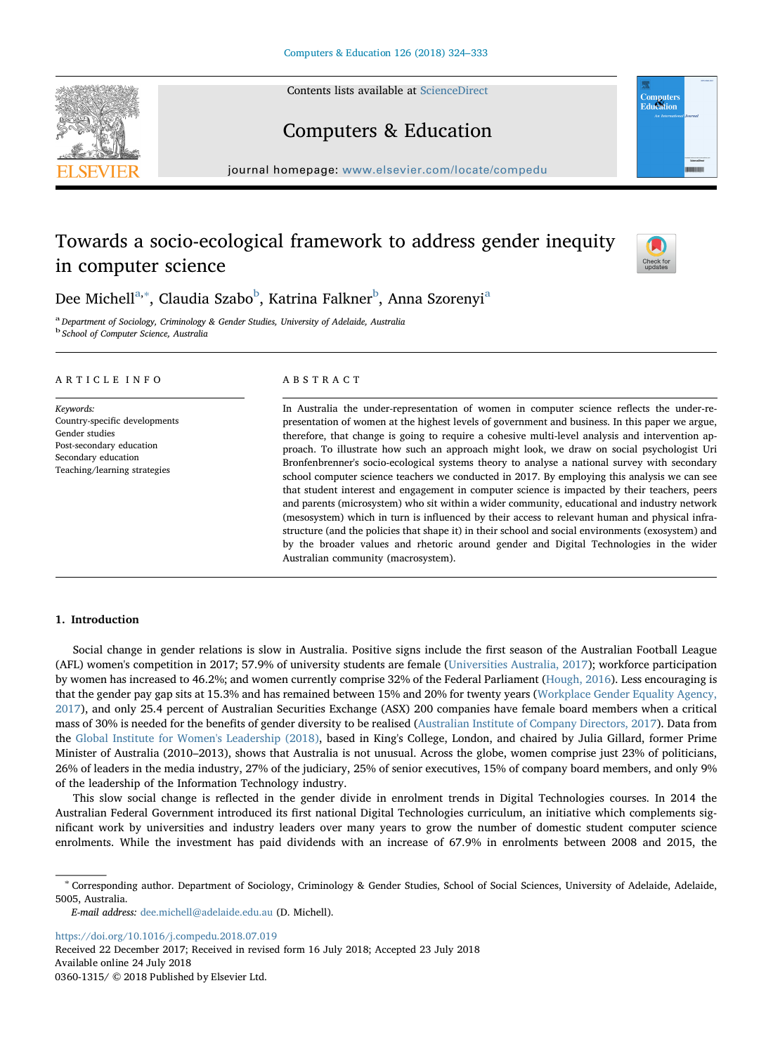Contents lists available at [ScienceDirect](http://www.sciencedirect.com/science/journal/03601315)





Computers & Education

journal homepage: [www.elsevier.com/locate/compedu](https://www.elsevier.com/locate/compedu)

# Towards a socio-ecological framework to address gender inequity in computer science



Dee Michell<sup>[a](#page-0-0),[∗](#page-0-1)</sup>, Claudia Sza[b](#page-0-2)o<sup>b</sup>, Katrina Falkner<sup>b</sup>, Anna Szorenyi<sup>a</sup>

<span id="page-0-2"></span><span id="page-0-0"></span><sup>a</sup> Department of Sociology, Criminology & Gender Studies, University of Adelaide, Australia <sup>b</sup> School of Computer Science, Australia

## ARTICLE INFO

Keywords: Country-specific developments Gender studies Post-secondary education Secondary education Teaching/learning strategies

# ABSTRACT

In Australia the under-representation of women in computer science reflects the under-representation of women at the highest levels of government and business. In this paper we argue, therefore, that change is going to require a cohesive multi-level analysis and intervention approach. To illustrate how such an approach might look, we draw on social psychologist Uri Bronfenbrenner's socio-ecological systems theory to analyse a national survey with secondary school computer science teachers we conducted in 2017. By employing this analysis we can see that student interest and engagement in computer science is impacted by their teachers, peers and parents (microsystem) who sit within a wider community, educational and industry network (mesosystem) which in turn is influenced by their access to relevant human and physical infrastructure (and the policies that shape it) in their school and social environments (exosystem) and by the broader values and rhetoric around gender and Digital Technologies in the wider Australian community (macrosystem).

# 1. Introduction

Social change in gender relations is slow in Australia. Positive signs include the first season of the Australian Football League (AFL) women's competition in 2017; 57.9% of university students are female ([Universities Australia, 2017](#page-9-0)); workforce participation by women has increased to 46.2%; and women currently comprise 32% of the Federal Parliament ([Hough, 2016](#page-8-0)). Less encouraging is that the gender pay gap sits at 15.3% and has remained between 15% and 20% for twenty years ([Workplace Gender Equality Agency,](#page-9-1) [2017\)](#page-9-1), and only 25.4 percent of Australian Securities Exchange (ASX) 200 companies have female board members when a critical mass of 30% is needed for the benefits of gender diversity to be realised ([Australian Institute of Company Directors, 2017\)](#page-8-1). Data from the [Global Institute for Women's Leadership \(2018\),](#page-8-2) based in King's College, London, and chaired by Julia Gillard, former Prime Minister of Australia (2010–2013), shows that Australia is not unusual. Across the globe, women comprise just 23% of politicians, 26% of leaders in the media industry, 27% of the judiciary, 25% of senior executives, 15% of company board members, and only 9% of the leadership of the Information Technology industry.

This slow social change is reflected in the gender divide in enrolment trends in Digital Technologies courses. In 2014 the Australian Federal Government introduced its first national Digital Technologies curriculum, an initiative which complements significant work by universities and industry leaders over many years to grow the number of domestic student computer science enrolments. While the investment has paid dividends with an increase of 67.9% in enrolments between 2008 and 2015, the

<https://doi.org/10.1016/j.compedu.2018.07.019>

Received 22 December 2017; Received in revised form 16 July 2018; Accepted 23 July 2018 Available online 24 July 2018 0360-1315/ © 2018 Published by Elsevier Ltd.

<span id="page-0-1"></span><sup>∗</sup> Corresponding author. Department of Sociology, Criminology & Gender Studies, School of Social Sciences, University of Adelaide, Adelaide, 5005, Australia.

E-mail address: [dee.michell@adelaide.edu.au](mailto:dee.michell@adelaide.edu.au) (D. Michell).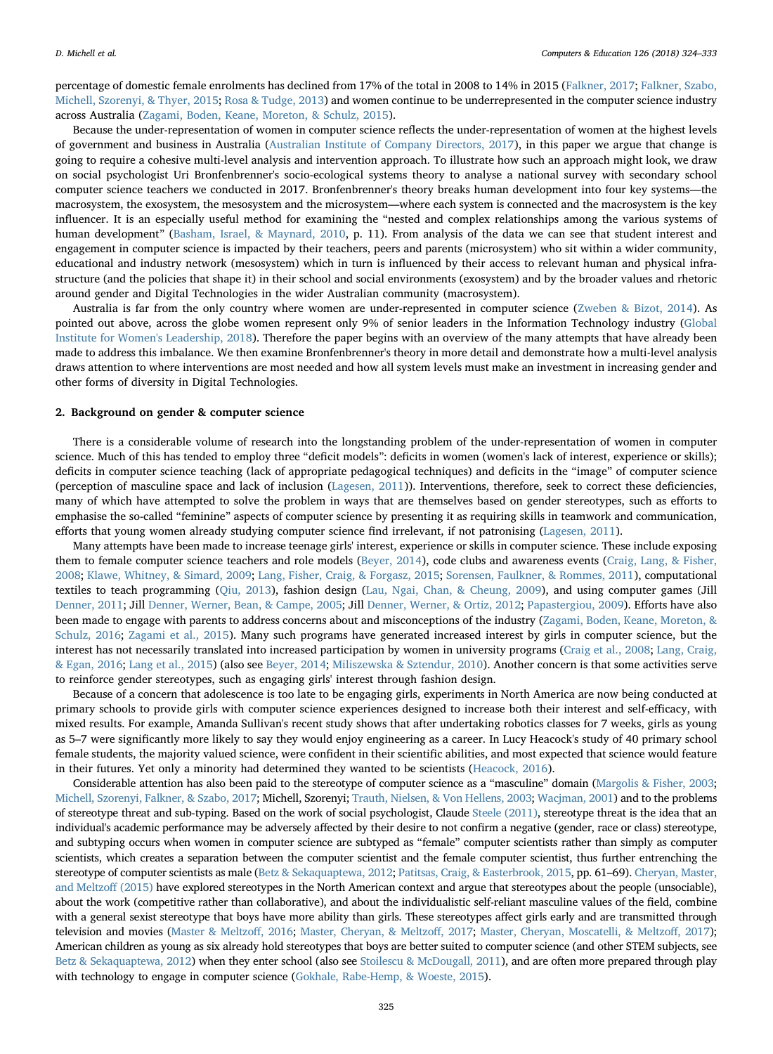percentage of domestic female enrolments has declined from 17% of the total in 2008 to 14% in 2015 ([Falkner, 2017](#page-8-3); [Falkner, Szabo,](#page-8-4) [Michell, Szorenyi, & Thyer, 2015](#page-8-4); [Rosa & Tudge, 2013](#page-9-2)) and women continue to be underrepresented in the computer science industry across Australia ([Zagami, Boden, Keane, Moreton, & Schulz, 2015\)](#page-9-3).

Because the under-representation of women in computer science reflects the under-representation of women at the highest levels of government and business in Australia ([Australian Institute of Company Directors, 2017](#page-8-1)), in this paper we argue that change is going to require a cohesive multi-level analysis and intervention approach. To illustrate how such an approach might look, we draw on social psychologist Uri Bronfenbrenner's socio-ecological systems theory to analyse a national survey with secondary school computer science teachers we conducted in 2017. Bronfenbrenner's theory breaks human development into four key systems—the macrosystem, the exosystem, the mesosystem and the microsystem—where each system is connected and the macrosystem is the key influencer. It is an especially useful method for examining the "nested and complex relationships among the various systems of human development" [\(Basham, Israel, & Maynard, 2010,](#page-8-5) p. 11). From analysis of the data we can see that student interest and engagement in computer science is impacted by their teachers, peers and parents (microsystem) who sit within a wider community, educational and industry network (mesosystem) which in turn is influenced by their access to relevant human and physical infrastructure (and the policies that shape it) in their school and social environments (exosystem) and by the broader values and rhetoric around gender and Digital Technologies in the wider Australian community (macrosystem).

Australia is far from the only country where women are under-represented in computer science ([Zweben & Bizot, 2014](#page-9-4)). As pointed out above, across the globe women represent only 9% of senior leaders in the Information Technology industry [\(Global](#page-8-2) [Institute for Women's Leadership, 2018\)](#page-8-2). Therefore the paper begins with an overview of the many attempts that have already been made to address this imbalance. We then examine Bronfenbrenner's theory in more detail and demonstrate how a multi-level analysis draws attention to where interventions are most needed and how all system levels must make an investment in increasing gender and other forms of diversity in Digital Technologies.

#### 2. Background on gender & computer science

There is a considerable volume of research into the longstanding problem of the under-representation of women in computer science. Much of this has tended to employ three "deficit models": deficits in women (women's lack of interest, experience or skills); deficits in computer science teaching (lack of appropriate pedagogical techniques) and deficits in the "image" of computer science (perception of masculine space and lack of inclusion ([Lagesen, 2011\)](#page-9-5)). Interventions, therefore, seek to correct these deficiencies, many of which have attempted to solve the problem in ways that are themselves based on gender stereotypes, such as efforts to emphasise the so-called "feminine" aspects of computer science by presenting it as requiring skills in teamwork and communication, efforts that young women already studying computer science find irrelevant, if not patronising ([Lagesen, 2011\)](#page-9-5).

Many attempts have been made to increase teenage girls' interest, experience or skills in computer science. These include exposing them to female computer science teachers and role models [\(Beyer, 2014](#page-8-6)), code clubs and awareness events ([Craig, Lang, & Fisher,](#page-8-7) [2008;](#page-8-7) [Klawe, Whitney, & Simard, 2009](#page-9-6); [Lang, Fisher, Craig, & Forgasz, 2015;](#page-9-7) Sorensen, [Faulkner, & Rommes, 2011\)](#page-9-8), computational textiles to teach programming ([Qiu, 2013](#page-9-9)), fashion design ([Lau, Ngai, Chan, & Cheung, 2009](#page-9-10)), and using computer games (Jill [Denner, 2011;](#page-8-8) Jill [Denner, Werner, Bean, & Campe, 2005](#page-8-9); Jill [Denner, Werner, & Ortiz, 2012](#page-8-10); [Papastergiou, 2009](#page-9-11)). Efforts have also been made to engage with parents to address concerns about and misconceptions of the industry ([Zagami, Boden, Keane, Moreton, &](#page-9-12) [Schulz, 2016](#page-9-12); [Zagami et al., 2015](#page-9-3)). Many such programs have generated increased interest by girls in computer science, but the interest has not necessarily translated into increased participation by women in university programs [\(Craig et al., 2008](#page-8-7); [Lang, Craig,](#page-9-13) [& Egan, 2016;](#page-9-13) [Lang et al., 2015](#page-9-7)) (also see [Beyer, 2014;](#page-8-6) [Miliszewska & Sztendur, 2010](#page-9-14)). Another concern is that some activities serve to reinforce gender stereotypes, such as engaging girls' interest through fashion design.

Because of a concern that adolescence is too late to be engaging girls, experiments in North America are now being conducted at primary schools to provide girls with computer science experiences designed to increase both their interest and self-efficacy, with mixed results. For example, Amanda Sullivan's recent study shows that after undertaking robotics classes for 7 weeks, girls as young as 5–7 were significantly more likely to say they would enjoy engineering as a career. In Lucy Heacock's study of 40 primary school female students, the majority valued science, were confident in their scientific abilities, and most expected that science would feature in their futures. Yet only a minority had determined they wanted to be scientists [\(Heacock, 2016\)](#page-8-11).

Considerable attention has also been paid to the stereotype of computer science as a "masculine" domain [\(Margolis & Fisher, 2003;](#page-9-15) [Michell, Szorenyi, Falkner, & Szabo, 2017;](#page-9-16) Michell, Szorenyi; [Trauth, Nielsen, & Von Hellens, 2003;](#page-9-17) [Wacjman, 2001](#page-9-18)) and to the problems of stereotype threat and sub-typing. Based on the work of social psychologist, Claude [Steele \(2011\),](#page-9-19) stereotype threat is the idea that an individual's academic performance may be adversely affected by their desire to not confirm a negative (gender, race or class) stereotype, and subtyping occurs when women in computer science are subtyped as "female" computer scientists rather than simply as computer scientists, which creates a separation between the computer scientist and the female computer scientist, thus further entrenching the stereotype of computer scientists as male [\(Betz & Sekaquaptewa, 2012;](#page-8-12) [Patitsas, Craig, & Easterbrook, 2015](#page-9-20), pp. 61–69). [Cheryan, Master,](#page-8-13) [and Meltzo](#page-8-13)ff (2015) have explored stereotypes in the North American context and argue that stereotypes about the people (unsociable), about the work (competitive rather than collaborative), and about the individualistic self-reliant masculine values of the field, combine with a general sexist stereotype that boys have more ability than girls. These stereotypes affect girls early and are transmitted through television and movies ([Master & Meltzo](#page-9-21)ff, 2016; [Master, Cheryan, & Meltzo](#page-9-22)ff, 2017; [Master, Cheryan, Moscatelli, & Meltzo](#page-9-22)ff, 2017); American children as young as six already hold stereotypes that boys are better suited to computer science (and other STEM subjects, see [Betz & Sekaquaptewa, 2012\)](#page-8-12) when they enter school (also see [Stoilescu & McDougall, 2011](#page-9-23)), and are often more prepared through play with technology to engage in computer science [\(Gokhale, Rabe-Hemp, & Woeste, 2015](#page-8-14)).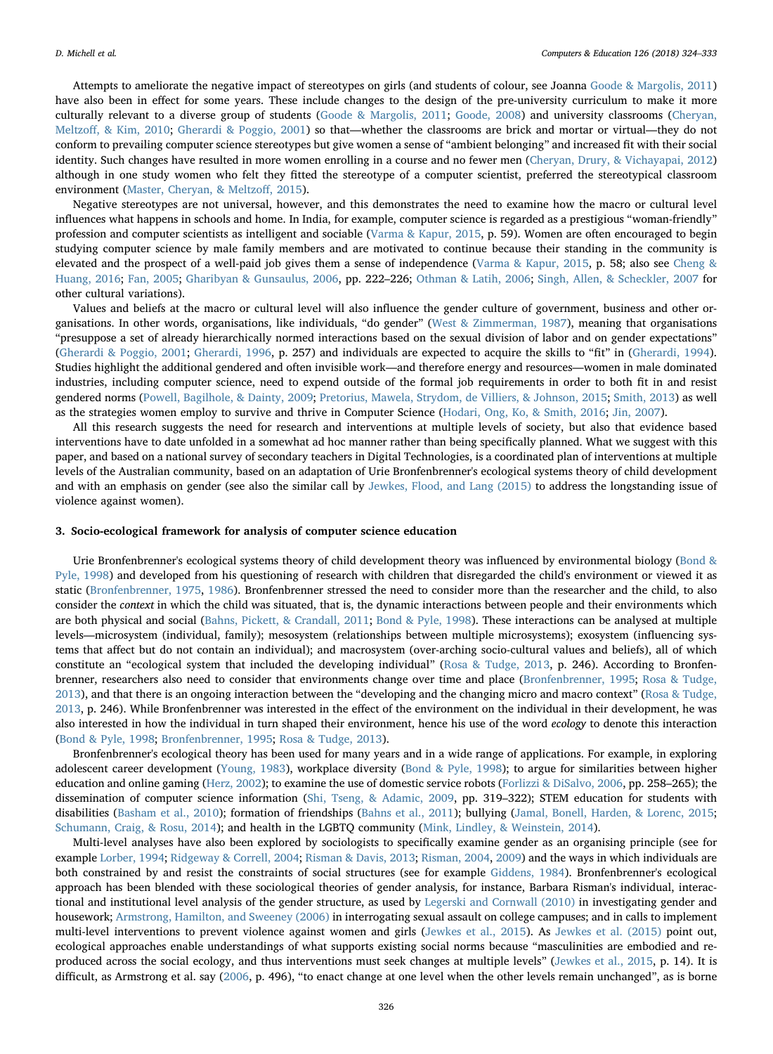Attempts to ameliorate the negative impact of stereotypes on girls (and students of colour, see Joanna [Goode & Margolis, 2011](#page-8-15)) have also been in effect for some years. These include changes to the design of the pre-university curriculum to make it more culturally relevant to a diverse group of students ([Goode & Margolis, 2011](#page-8-15); [Goode, 2008](#page-8-16)) and university classrooms ([Cheryan,](#page-8-17) Meltzoff[, & Kim, 2010;](#page-8-17) [Gherardi & Poggio, 2001\)](#page-8-18) so that—whether the classrooms are brick and mortar or virtual—they do not conform to prevailing computer science stereotypes but give women a sense of "ambient belonging" and increased fit with their social identity. Such changes have resulted in more women enrolling in a course and no fewer men [\(Cheryan, Drury, & Vichayapai, 2012](#page-8-19)) although in one study women who felt they fitted the stereotype of a computer scientist, preferred the stereotypical classroom environment ([Master, Cheryan, & Meltzo](#page-9-24)ff, 2015).

Negative stereotypes are not universal, however, and this demonstrates the need to examine how the macro or cultural level influences what happens in schools and home. In India, for example, computer science is regarded as a prestigious "woman-friendly" profession and computer scientists as intelligent and sociable [\(Varma & Kapur, 2015,](#page-9-25) p. 59). Women are often encouraged to begin studying computer science by male family members and are motivated to continue because their standing in the community is elevated and the prospect of a well-paid job gives them a sense of independence ([Varma & Kapur, 2015,](#page-9-25) p. 58; also see [Cheng &](#page-8-20) [Huang, 2016](#page-8-20); [Fan, 2005](#page-8-21); [Gharibyan & Gunsaulus, 2006,](#page-8-22) pp. 222–226; [Othman & Latih, 2006;](#page-9-26) [Singh, Allen, & Scheckler, 2007](#page-9-27) for other cultural variations).

Values and beliefs at the macro or cultural level will also influence the gender culture of government, business and other organisations. In other words, organisations, like individuals, "do gender" [\(West & Zimmerman, 1987](#page-9-28)), meaning that organisations "presuppose a set of already hierarchically normed interactions based on the sexual division of labor and on gender expectations" ([Gherardi & Poggio, 2001;](#page-8-18) [Gherardi, 1996](#page-8-23), p. 257) and individuals are expected to acquire the skills to "fit" in ([Gherardi, 1994\)](#page-8-24). Studies highlight the additional gendered and often invisible work—and therefore energy and resources—women in male dominated industries, including computer science, need to expend outside of the formal job requirements in order to both fit in and resist gendered norms (Powell, [Bagilhole, & Dainty, 2009;](#page-9-29) [Pretorius, Mawela, Strydom, de Villiers, & Johnson, 2015;](#page-9-30) [Smith, 2013\)](#page-9-31) as well as the strategies women employ to survive and thrive in Computer Science [\(Hodari, Ong, Ko, & Smith, 2016;](#page-8-25) [Jin, 2007](#page-9-32)).

All this research suggests the need for research and interventions at multiple levels of society, but also that evidence based interventions have to date unfolded in a somewhat ad hoc manner rather than being specifically planned. What we suggest with this paper, and based on a national survey of secondary teachers in Digital Technologies, is a coordinated plan of interventions at multiple levels of the Australian community, based on an adaptation of Urie Bronfenbrenner's ecological systems theory of child development and with an emphasis on gender (see also the similar call by [Jewkes, Flood, and Lang \(2015\)](#page-9-33) to address the longstanding issue of violence against women).

## 3. Socio-ecological framework for analysis of computer science education

Urie Bronfenbrenner's ecological systems theory of child development theory was influenced by environmental biology [\(Bond &](#page-8-26) [Pyle, 1998\)](#page-8-26) and developed from his questioning of research with children that disregarded the child's environment or viewed it as static [\(Bronfenbrenner, 1975,](#page-8-27) [1986\)](#page-8-28). Bronfenbrenner stressed the need to consider more than the researcher and the child, to also consider the context in which the child was situated, that is, the dynamic interactions between people and their environments which are both physical and social [\(Bahns, Pickett, & Crandall, 2011](#page-8-29); [Bond & Pyle, 1998](#page-8-26)). These interactions can be analysed at multiple levels—microsystem (individual, family); mesosystem (relationships between multiple microsystems); exosystem (influencing systems that affect but do not contain an individual); and macrosystem (over-arching socio-cultural values and beliefs), all of which constitute an "ecological system that included the developing individual" ([Rosa & Tudge, 2013](#page-9-2), p. 246). According to Bronfenbrenner, researchers also need to consider that environments change over time and place ([Bronfenbrenner, 1995](#page-8-30); [Rosa & Tudge,](#page-9-2) [2013\)](#page-9-2), and that there is an ongoing interaction between the "developing and the changing micro and macro context" ([Rosa & Tudge,](#page-9-2) [2013,](#page-9-2) p. 246). While Bronfenbrenner was interested in the effect of the environment on the individual in their development, he was also interested in how the individual in turn shaped their environment, hence his use of the word ecology to denote this interaction ([Bond & Pyle, 1998;](#page-8-26) [Bronfenbrenner, 1995](#page-8-30); [Rosa & Tudge, 2013](#page-9-2)).

Bronfenbrenner's ecological theory has been used for many years and in a wide range of applications. For example, in exploring adolescent career development ([Young, 1983](#page-9-34)), workplace diversity ([Bond & Pyle, 1998\)](#page-8-26); to argue for similarities between higher education and online gaming ([Herz, 2002](#page-8-31)); to examine the use of domestic service robots ([Forlizzi & DiSalvo, 2006,](#page-8-32) pp. 258–265); the dissemination of computer science information ([Shi, Tseng, & Adamic, 2009,](#page-9-35) pp. 319–322); STEM education for students with disabilities ([Basham et al., 2010](#page-8-5)); formation of friendships ([Bahns et al., 2011\)](#page-8-29); bullying ([Jamal, Bonell, Harden, & Lorenc, 2015;](#page-9-36) [Schumann, Craig, & Rosu, 2014\)](#page-9-37); and health in the LGBTQ community [\(Mink, Lindley, & Weinstein, 2014](#page-9-38)).

Multi-level analyses have also been explored by sociologists to specifically examine gender as an organising principle (see for example [Lorber, 1994;](#page-9-39) [Ridgeway & Correll, 2004;](#page-9-40) [Risman & Davis, 2013;](#page-9-41) [Risman, 2004](#page-9-42), [2009](#page-9-43)) and the ways in which individuals are both constrained by and resist the constraints of social structures (see for example [Giddens, 1984\)](#page-8-33). Bronfenbrenner's ecological approach has been blended with these sociological theories of gender analysis, for instance, Barbara Risman's individual, interactional and institutional level analysis of the gender structure, as used by [Legerski and Cornwall \(2010\)](#page-9-44) in investigating gender and housework; [Armstrong, Hamilton, and Sweeney \(2006\)](#page-8-34) in interrogating sexual assault on college campuses; and in calls to implement multi-level interventions to prevent violence against women and girls ([Jewkes et al., 2015\)](#page-9-33). As [Jewkes et al. \(2015\)](#page-9-33) point out, ecological approaches enable understandings of what supports existing social norms because "masculinities are embodied and reproduced across the social ecology, and thus interventions must seek changes at multiple levels" ([Jewkes et al., 2015](#page-9-33), p. 14). It is difficult, as Armstrong et al. say [\(2006](#page-8-34), p. 496), "to enact change at one level when the other levels remain unchanged", as is borne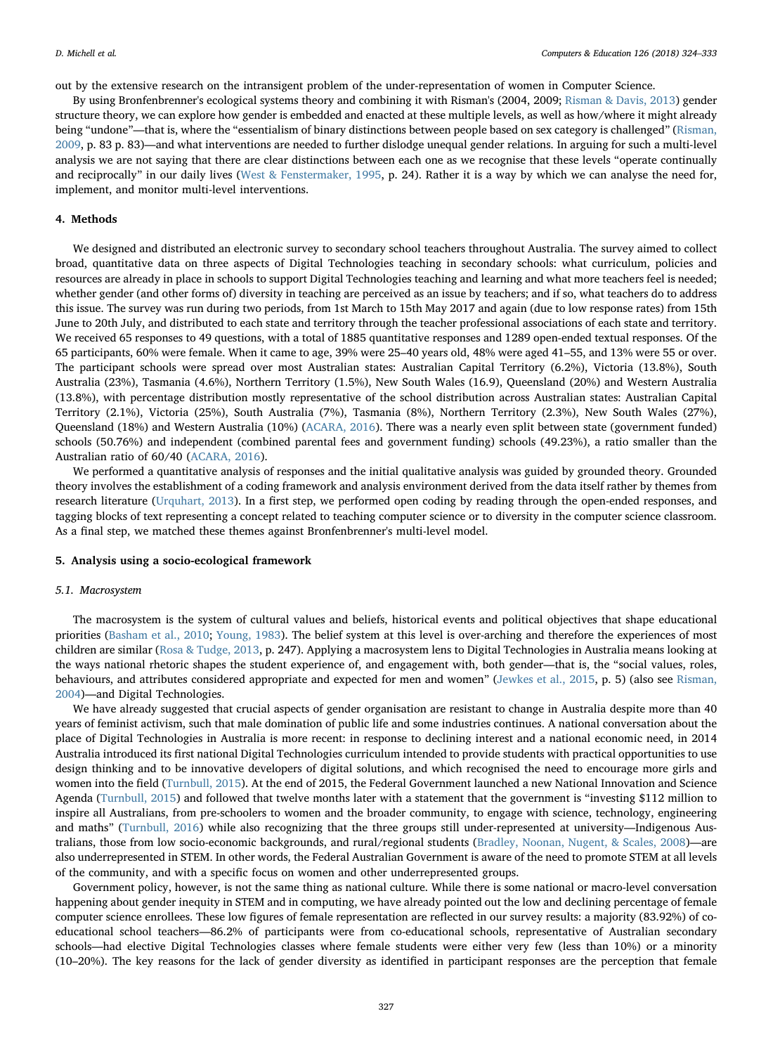out by the extensive research on the intransigent problem of the under-representation of women in Computer Science.

By using Bronfenbrenner's ecological systems theory and combining it with Risman's (2004, 2009; [Risman & Davis, 2013\)](#page-9-41) gender structure theory, we can explore how gender is embedded and enacted at these multiple levels, as well as how/where it might already being "undone"—that is, where the "essentialism of binary distinctions between people based on sex category is challenged" ([Risman,](#page-9-43) [2009,](#page-9-43) p. 83 p. 83)—and what interventions are needed to further dislodge unequal gender relations. In arguing for such a multi-level analysis we are not saying that there are clear distinctions between each one as we recognise that these levels "operate continually and reciprocally" in our daily lives ([West & Fenstermaker, 1995,](#page-9-45) p. 24). Rather it is a way by which we can analyse the need for, implement, and monitor multi-level interventions.

#### 4. Methods

We designed and distributed an electronic survey to secondary school teachers throughout Australia. The survey aimed to collect broad, quantitative data on three aspects of Digital Technologies teaching in secondary schools: what curriculum, policies and resources are already in place in schools to support Digital Technologies teaching and learning and what more teachers feel is needed; whether gender (and other forms of) diversity in teaching are perceived as an issue by teachers; and if so, what teachers do to address this issue. The survey was run during two periods, from 1st March to 15th May 2017 and again (due to low response rates) from 15th June to 20th July, and distributed to each state and territory through the teacher professional associations of each state and territory. We received 65 responses to 49 questions, with a total of 1885 quantitative responses and 1289 open-ended textual responses. Of the 65 participants, 60% were female. When it came to age, 39% were 25–40 years old, 48% were aged 41–55, and 13% were 55 or over. The participant schools were spread over most Australian states: Australian Capital Territory (6.2%), Victoria (13.8%), South Australia (23%), Tasmania (4.6%), Northern Territory (1.5%), New South Wales (16.9), Queensland (20%) and Western Australia (13.8%), with percentage distribution mostly representative of the school distribution across Australian states: Australian Capital Territory (2.1%), Victoria (25%), South Australia (7%), Tasmania (8%), Northern Territory (2.3%), New South Wales (27%), Queensland (18%) and Western Australia (10%) ([ACARA, 2016\)](#page-8-35). There was a nearly even split between state (government funded) schools (50.76%) and independent (combined parental fees and government funding) schools (49.23%), a ratio smaller than the Australian ratio of 60/40 [\(ACARA, 2016](#page-8-35)).

We performed a quantitative analysis of responses and the initial qualitative analysis was guided by grounded theory. Grounded theory involves the establishment of a coding framework and analysis environment derived from the data itself rather by themes from research literature ([Urquhart, 2013\)](#page-9-46). In a first step, we performed open coding by reading through the open-ended responses, and tagging blocks of text representing a concept related to teaching computer science or to diversity in the computer science classroom. As a final step, we matched these themes against Bronfenbrenner's multi-level model.

#### 5. Analysis using a socio-ecological framework

#### 5.1. Macrosystem

The macrosystem is the system of cultural values and beliefs, historical events and political objectives that shape educational priorities ([Basham et al., 2010;](#page-8-5) [Young, 1983\)](#page-9-34). The belief system at this level is over-arching and therefore the experiences of most children are similar [\(Rosa & Tudge, 2013,](#page-9-2) p. 247). Applying a macrosystem lens to Digital Technologies in Australia means looking at the ways national rhetoric shapes the student experience of, and engagement with, both gender—that is, the "social values, roles, behaviours, and attributes considered appropriate and expected for men and women" [\(Jewkes et al., 2015](#page-9-33), p. 5) (also see [Risman,](#page-9-42) [2004\)](#page-9-42)—and Digital Technologies.

We have already suggested that crucial aspects of gender organisation are resistant to change in Australia despite more than 40 years of feminist activism, such that male domination of public life and some industries continues. A national conversation about the place of Digital Technologies in Australia is more recent: in response to declining interest and a national economic need, in 2014 Australia introduced its first national Digital Technologies curriculum intended to provide students with practical opportunities to use design thinking and to be innovative developers of digital solutions, and which recognised the need to encourage more girls and women into the field ([Turnbull, 2015\)](#page-9-47). At the end of 2015, the Federal Government launched a new National Innovation and Science Agenda ([Turnbull,](#page-9-47) 2015) and followed that twelve months later with a statement that the government is "investing \$112 million to inspire all Australians, from pre-schoolers to women and the broader community, to engage with science, technology, engineering and maths" [\(Turnbull, 2016](#page-9-48)) while also recognizing that the three groups still under-represented at university—Indigenous Australians, those from low socio-economic backgrounds, and rural/regional students [\(Bradley, Noonan, Nugent, & Scales, 2008](#page-8-36))—are also underrepresented in STEM. In other words, the Federal Australian Government is aware of the need to promote STEM at all levels of the community, and with a specific focus on women and other underrepresented groups.

Government policy, however, is not the same thing as national culture. While there is some national or macro-level conversation happening about gender inequity in STEM and in computing, we have already pointed out the low and declining percentage of female computer science enrollees. These low figures of female representation are reflected in our survey results: a majority (83.92%) of coeducational school teachers—86.2% of participants were from co-educational schools, representative of Australian secondary schools—had elective Digital Technologies classes where female students were either very few (less than 10%) or a minority (10–20%). The key reasons for the lack of gender diversity as identified in participant responses are the perception that female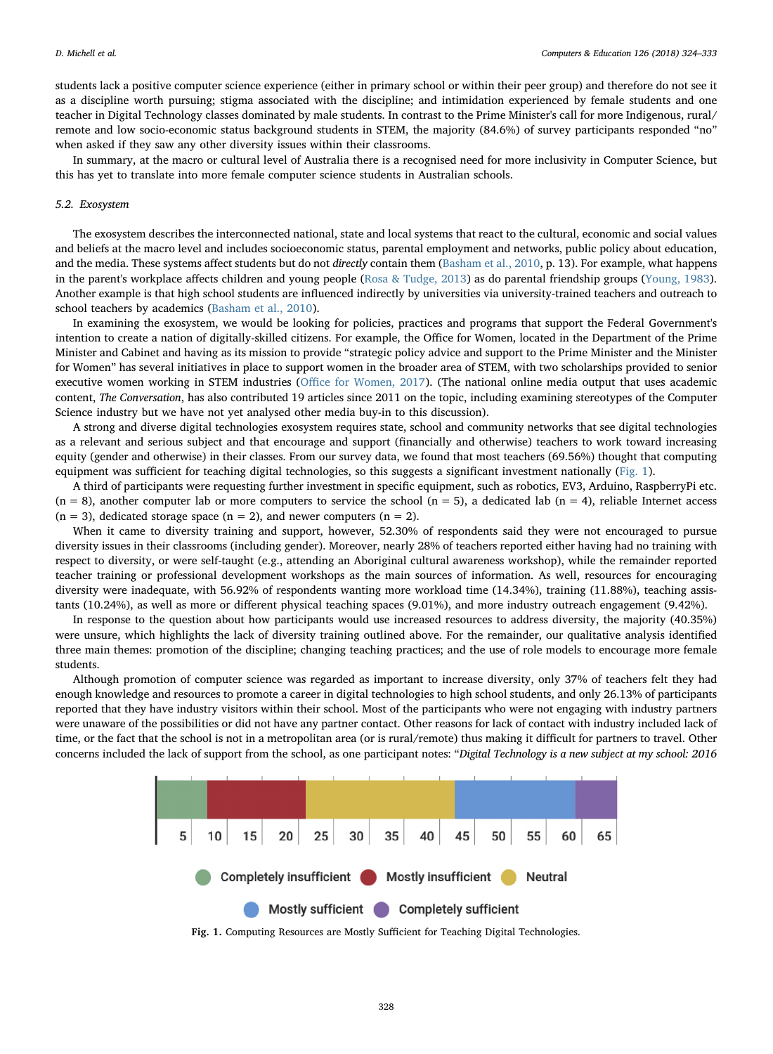students lack a positive computer science experience (either in primary school or within their peer group) and therefore do not see it as a discipline worth pursuing; stigma associated with the discipline; and intimidation experienced by female students and one teacher in Digital Technology classes dominated by male students. In contrast to the Prime Minister's call for more Indigenous, rural/ remote and low socio-economic status background students in STEM, the majority (84.6%) of survey participants responded "no" when asked if they saw any other diversity issues within their classrooms.

In summary, at the macro or cultural level of Australia there is a recognised need for more inclusivity in Computer Science, but this has yet to translate into more female computer science students in Australian schools.

#### 5.2. Exosystem

The exosystem describes the interconnected national, state and local systems that react to the cultural, economic and social values and beliefs at the macro level and includes socioeconomic status, parental employment and networks, public policy about education, and the media. These systems affect students but do not directly contain them ([Basham et al., 2010,](#page-8-5) p. 13). For example, what happens in the parent's workplace affects children and young people ([Rosa & Tudge, 2013\)](#page-9-2) as do parental friendship groups ([Young, 1983](#page-9-34)). Another example is that high school students are influenced indirectly by universities via university-trained teachers and outreach to school teachers by academics [\(Basham et al., 2010](#page-8-5)).

In examining the exosystem, we would be looking for policies, practices and programs that support the Federal Government's intention to create a nation of digitally-skilled citizens. For example, the Office for Women, located in the Department of the Prime Minister and Cabinet and having as its mission to provide "strategic policy advice and support to the Prime Minister and the Minister for Women" has several initiatives in place to support women in the broader area of STEM, with two scholarships provided to senior executive women working in STEM industries (Offi[ce for Women, 2017\)](#page-9-49). (The national online media output that uses academic content, The Conversation, has also contributed 19 articles since 2011 on the topic, including examining stereotypes of the Computer Science industry but we have not yet analysed other media buy-in to this discussion).

A strong and diverse digital technologies exosystem requires state, school and community networks that see digital technologies as a relevant and serious subject and that encourage and support (financially and otherwise) teachers to work toward increasing equity (gender and otherwise) in their classes. From our survey data, we found that most teachers (69.56%) thought that computing equipment was sufficient for teaching digital technologies, so this suggests a significant investment nationally ([Fig. 1\)](#page-4-0).

A third of participants were requesting further investment in specific equipment, such as robotics, EV3, Arduino, RaspberryPi etc.  $(n = 8)$ , another computer lab or more computers to service the school  $(n = 5)$ , a dedicated lab  $(n = 4)$ , reliable Internet access  $(n = 3)$ , dedicated storage space  $(n = 2)$ , and newer computers  $(n = 2)$ .

When it came to diversity training and support, however, 52.30% of respondents said they were not encouraged to pursue diversity issues in their classrooms (including gender). Moreover, nearly 28% of teachers reported either having had no training with respect to diversity, or were self-taught (e.g., attending an Aboriginal cultural awareness workshop), while the remainder reported teacher training or professional development workshops as the main sources of information. As well, resources for encouraging diversity were inadequate, with 56.92% of respondents wanting more workload time (14.34%), training (11.88%), teaching assistants (10.24%), as well as more or different physical teaching spaces (9.01%), and more industry outreach engagement (9.42%).

In response to the question about how participants would use increased resources to address diversity, the majority (40.35%) were unsure, which highlights the lack of diversity training outlined above. For the remainder, our qualitative analysis identified three main themes: promotion of the discipline; changing teaching practices; and the use of role models to encourage more female students.

Although promotion of computer science was regarded as important to increase diversity, only 37% of teachers felt they had enough knowledge and resources to promote a career in digital technologies to high school students, and only 26.13% of participants reported that they have industry visitors within their school. Most of the participants who were not engaging with industry partners were unaware of the possibilities or did not have any partner contact. Other reasons for lack of contact with industry included lack of time, or the fact that the school is not in a metropolitan area (or is rural/remote) thus making it difficult for partners to travel. Other concerns included the lack of support from the school, as one participant notes: "Digital Technology is a new subject at my school: 2016

<span id="page-4-0"></span>

Fig. 1. Computing Resources are Mostly Sufficient for Teaching Digital Technologies.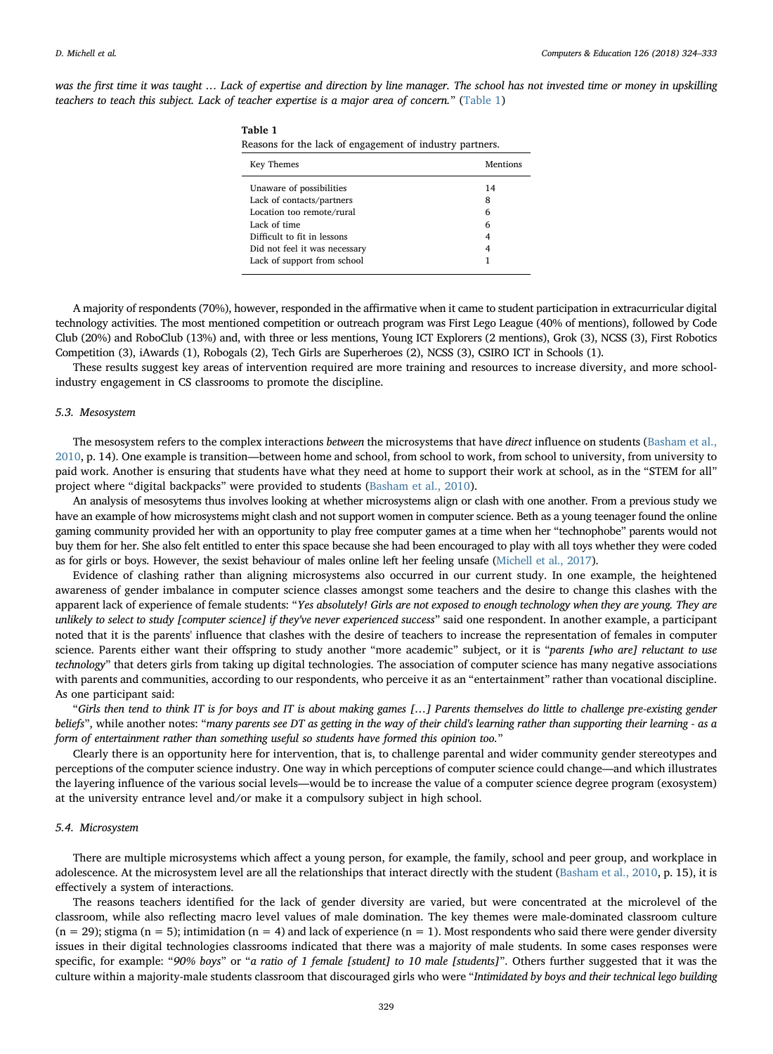was the first time it was taught … Lack of expertise and direction by line manager. The school has not invested time or money in upskilling teachers to teach this subject. Lack of teacher expertise is a major area of concern." ([Table 1](#page-5-0))

<span id="page-5-0"></span>Table 1

| .<br>Reasons for the lack of engagement of industry partners. |          |  |
|---------------------------------------------------------------|----------|--|
| Key Themes                                                    | Mentions |  |
| Unaware of possibilities                                      | 14       |  |
| Lack of contacts/partners                                     | 8        |  |
| Location too remote/rural                                     | 6        |  |
| Lack of time                                                  | 6        |  |
| Difficult to fit in lessons                                   | 4        |  |
| Did not feel it was necessary                                 |          |  |
| Lack of support from school                                   |          |  |
|                                                               |          |  |

A majority of respondents (70%), however, responded in the affirmative when it came to student participation in extracurricular digital technology activities. The most mentioned competition or outreach program was First Lego League (40% of mentions), followed by Code Club (20%) and RoboClub (13%) and, with three or less mentions, Young ICT Explorers (2 mentions), Grok (3), NCSS (3), First Robotics Competition (3), iAwards (1), Robogals (2), Tech Girls are Superheroes (2), NCSS (3), CSIRO ICT in Schools (1).

These results suggest key areas of intervention required are more training and resources to increase diversity, and more schoolindustry engagement in CS classrooms to promote the discipline.

#### 5.3. Mesosystem

The mesosystem refers to the complex interactions between the microsystems that have direct influence on students [\(Basham et al.,](#page-8-5) [2010,](#page-8-5) p. 14). One example is transition—between home and school, from school to work, from school to university, from university to paid work. Another is ensuring that students have what they need at home to support their work at school, as in the "STEM for all" project where "digital backpacks" were provided to students [\(Basham et al., 2010](#page-8-5)).

An analysis of mesosytems thus involves looking at whether microsystems align or clash with one another. From a previous study we have an example of how microsystems might clash and not support women in computer science. Beth as a young teenager found the online gaming community provided her with an opportunity to play free computer games at a time when her "technophobe" parents would not buy them for her. She also felt entitled to enter this space because she had been encouraged to play with all toys whether they were coded as for girls or boys. However, the sexist behaviour of males online left her feeling unsafe ([Michell et al., 2017\)](#page-9-16).

Evidence of clashing rather than aligning microsystems also occurred in our current study. In one example, the heightened awareness of gender imbalance in computer science classes amongst some teachers and the desire to change this clashes with the apparent lack of experience of female students: "Yes absolutely! Girls are not exposed to enough technology when they are young. They are unlikely to select to study [computer science] if they've never experienced success" said one respondent. In another example, a participant noted that it is the parents' influence that clashes with the desire of teachers to increase the representation of females in computer science. Parents either want their offspring to study another "more academic" subject, or it is "parents [who are] reluctant to use technology" that deters girls from taking up digital technologies. The association of computer science has many negative associations with parents and communities, according to our respondents, who perceive it as an "entertainment" rather than vocational discipline. As one participant said:

"Girls then tend to think IT is for boys and IT is about making games […] Parents themselves do little to challenge pre-existing gender beliefs", while another notes: "many parents see DT as getting in the way of their child's learning rather than supporting their learning - as a form of entertainment rather than something useful so students have formed this opinion too."

Clearly there is an opportunity here for intervention, that is, to challenge parental and wider community gender stereotypes and perceptions of the computer science industry. One way in which perceptions of computer science could change—and which illustrates the layering influence of the various social levels—would be to increase the value of a computer science degree program (exosystem) at the university entrance level and/or make it a compulsory subject in high school.

#### 5.4. Microsystem

There are multiple microsystems which affect a young person, for example, the family, school and peer group, and workplace in adolescence. At the microsystem level are all the relationships that interact directly with the student [\(Basham et al., 2010](#page-8-5), p. 15), it is effectively a system of interactions.

The reasons teachers identified for the lack of gender diversity are varied, but were concentrated at the microlevel of the classroom, while also reflecting macro level values of male domination. The key themes were male-dominated classroom culture  $(n = 29)$ ; stigma  $(n = 5)$ ; intimidation  $(n = 4)$  and lack of experience  $(n = 1)$ . Most respondents who said there were gender diversity issues in their digital technologies classrooms indicated that there was a majority of male students. In some cases responses were specific, for example: "90% boys" or "a ratio of 1 female [student] to 10 male [students]". Others further suggested that it was the culture within a majority-male students classroom that discouraged girls who were "Intimidated by boys and their technical lego building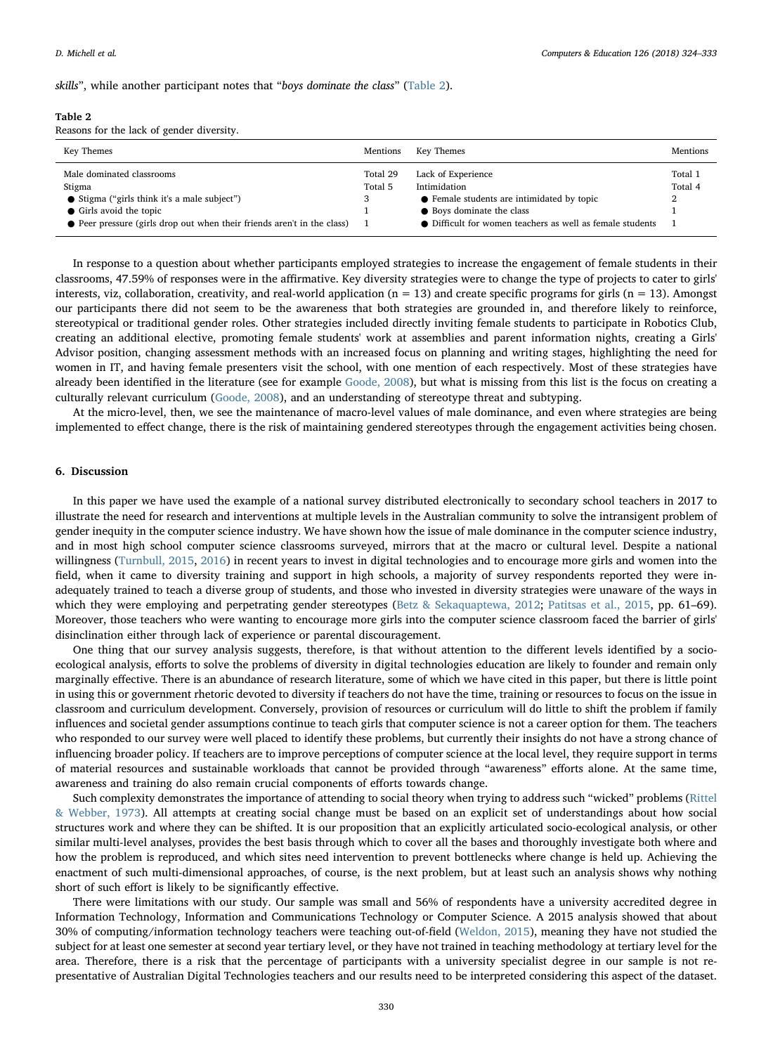skills", while another participant notes that "boys dominate the class" [\(Table 2\)](#page-6-0).

#### <span id="page-6-0"></span>Table 2

Reasons for the lack of gender diversity.

| Key Themes                                                                                                                                                                                | Mentions            | Key Themes                                                                                                                                                                 | Mentions                |
|-------------------------------------------------------------------------------------------------------------------------------------------------------------------------------------------|---------------------|----------------------------------------------------------------------------------------------------------------------------------------------------------------------------|-------------------------|
| Male dominated classrooms<br>Stigma<br>• Stigma ("girls think it's a male subject")<br>• Girls avoid the topic<br>● Peer pressure (girls drop out when their friends aren't in the class) | Total 29<br>Total 5 | Lack of Experience<br>Intimidation<br>• Female students are intimidated by topic<br>• Boys dominate the class<br>• Difficult for women teachers as well as female students | Total 1<br>Total 4<br>2 |

In response to a question about whether participants employed strategies to increase the engagement of female students in their classrooms, 47.59% of responses were in the affirmative. Key diversity strategies were to change the type of projects to cater to girls' interests, viz, collaboration, creativity, and real-world application ( $n = 13$ ) and create specific programs for girls ( $n = 13$ ). Amongst our participants there did not seem to be the awareness that both strategies are grounded in, and therefore likely to reinforce, stereotypical or traditional gender roles. Other strategies included directly inviting female students to participate in Robotics Club, creating an additional elective, promoting female students' work at assemblies and parent information nights, creating a Girls' Advisor position, changing assessment methods with an increased focus on planning and writing stages, highlighting the need for women in IT, and having female presenters visit the school, with one mention of each respectively. Most of these strategies have already been identified in the literature (see for example [Goode, 2008\)](#page-8-16), but what is missing from this list is the focus on creating a culturally relevant curriculum ([Goode, 2008](#page-8-16)), and an understanding of stereotype threat and subtyping.

At the micro-level, then, we see the maintenance of macro-level values of male dominance, and even where strategies are being implemented to effect change, there is the risk of maintaining gendered stereotypes through the engagement activities being chosen.

## 6. Discussion

In this paper we have used the example of a national survey distributed electronically to secondary school teachers in 2017 to illustrate the need for research and interventions at multiple levels in the Australian community to solve the intransigent problem of gender inequity in the computer science industry. We have shown how the issue of male dominance in the computer science industry, and in most high school computer science classrooms surveyed, mirrors that at the macro or cultural level. Despite a national willingness ([Turnbull, 2015,](#page-9-47) [2016](#page-9-48)) in recent years to invest in digital technologies and to encourage more girls and women into the field, when it came to diversity training and support in high schools, a majority of survey respondents reported they were inadequately trained to teach a diverse group of students, and those who invested in diversity strategies were unaware of the ways in which they were employing and perpetrating gender stereotypes [\(Betz & Sekaquaptewa, 2012;](#page-8-12) [Patitsas et al., 2015](#page-9-20), pp. 61-69). Moreover, those teachers who were wanting to encourage more girls into the computer science classroom faced the barrier of girls' disinclination either through lack of experience or parental discouragement.

One thing that our survey analysis suggests, therefore, is that without attention to the different levels identified by a socioecological analysis, efforts to solve the problems of diversity in digital technologies education are likely to founder and remain only marginally effective. There is an abundance of research literature, some of which we have cited in this paper, but there is little point in using this or government rhetoric devoted to diversity if teachers do not have the time, training or resources to focus on the issue in classroom and curriculum development. Conversely, provision of resources or curriculum will do little to shift the problem if family influences and societal gender assumptions continue to teach girls that computer science is not a career option for them. The teachers who responded to our survey were well placed to identify these problems, but currently their insights do not have a strong chance of influencing broader policy. If teachers are to improve perceptions of computer science at the local level, they require support in terms of material resources and sustainable workloads that cannot be provided through "awareness" efforts alone. At the same time, awareness and training do also remain crucial components of efforts towards change.

Such complexity demonstrates the importance of attending to social theory when trying to address such "wicked" problems ([Rittel](#page-9-50) [& Webber, 1973](#page-9-50)). All attempts at creating social change must be based on an explicit set of understandings about how social structures work and where they can be shifted. It is our proposition that an explicitly articulated socio-ecological analysis, or other similar multi-level analyses, provides the best basis through which to cover all the bases and thoroughly investigate both where and how the problem is reproduced, and which sites need intervention to prevent bottlenecks where change is held up. Achieving the enactment of such multi-dimensional approaches, of course, is the next problem, but at least such an analysis shows why nothing short of such effort is likely to be significantly effective.

There were limitations with our study. Our sample was small and 56% of respondents have a university accredited degree in Information Technology, Information and Communications Technology or Computer Science. A 2015 analysis showed that about 30% of computing/information technology teachers were teaching out-of-field ([Weldon, 2015](#page-9-51)), meaning they have not studied the subject for at least one semester at second year tertiary level, or they have not trained in teaching methodology at tertiary level for the area. Therefore, there is a risk that the percentage of participants with a university specialist degree in our sample is not representative of Australian Digital Technologies teachers and our results need to be interpreted considering this aspect of the dataset.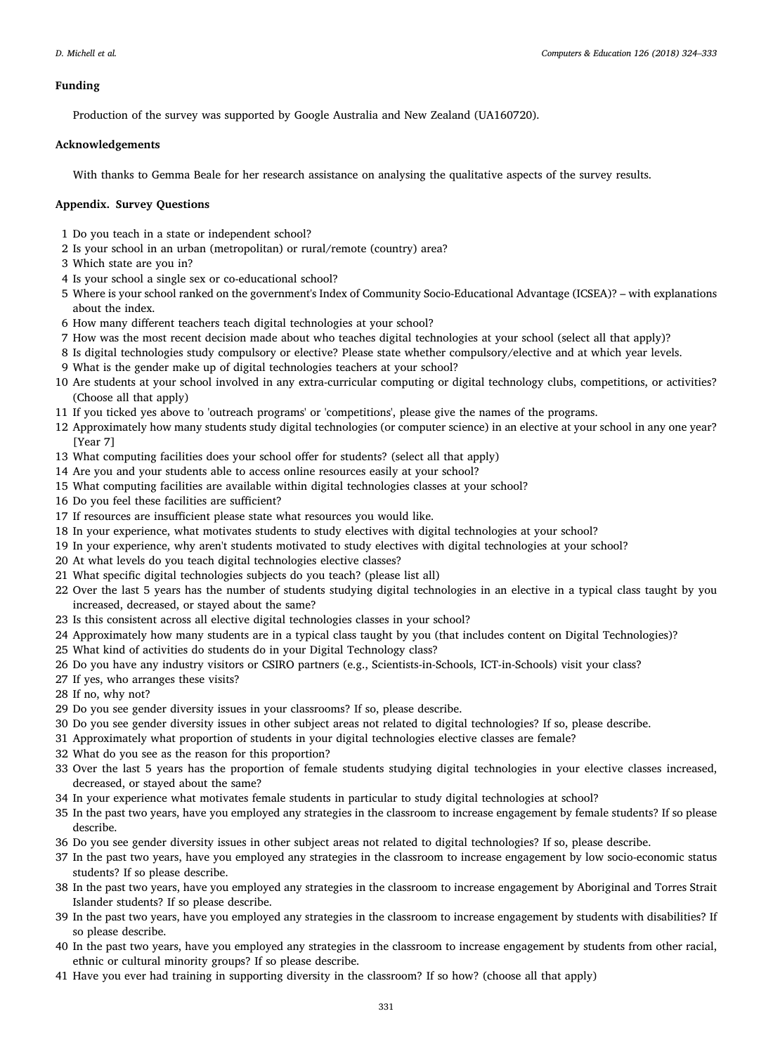## Funding

Production of the survey was supported by Google Australia and New Zealand (UA160720).

## Acknowledgements

With thanks to Gemma Beale for her research assistance on analysing the qualitative aspects of the survey results.

# Appendix. Survey Questions

- 1 Do you teach in a state or independent school?
- 2 Is your school in an urban (metropolitan) or rural/remote (country) area?
- 3 Which state are you in?
- 4 Is your school a single sex or co-educational school?
- 5 Where is your school ranked on the government's Index of Community Socio-Educational Advantage (ICSEA)? with explanations about the index.
- 6 How many different teachers teach digital technologies at your school?
- 7 How was the most recent decision made about who teaches digital technologies at your school (select all that apply)?
- 8 Is digital technologies study compulsory or elective? Please state whether compulsory/elective and at which year levels.
- 9 What is the gender make up of digital technologies teachers at your school?
- 10 Are students at your school involved in any extra-curricular computing or digital technology clubs, competitions, or activities? (Choose all that apply)
- 11 If you ticked yes above to 'outreach programs' or 'competitions', please give the names of the programs.
- 12 Approximately how many students study digital technologies (or computer science) in an elective at your school in any one year? [Year 7]
- 13 What computing facilities does your school offer for students? (select all that apply)
- 14 Are you and your students able to access online resources easily at your school?
- 15 What computing facilities are available within digital technologies classes at your school?
- 16 Do you feel these facilities are sufficient?
- 17 If resources are insufficient please state what resources you would like.
- 18 In your experience, what motivates students to study electives with digital technologies at your school?
- 19 In your experience, why aren't students motivated to study electives with digital technologies at your school?
- 20 At what levels do you teach digital technologies elective classes?
- 21 What specific digital technologies subjects do you teach? (please list all)
- 22 Over the last 5 years has the number of students studying digital technologies in an elective in a typical class taught by you increased, decreased, or stayed about the same?
- 23 Is this consistent across all elective digital technologies classes in your school?
- 24 Approximately how many students are in a typical class taught by you (that includes content on Digital Technologies)?
- 25 What kind of activities do students do in your Digital Technology class?
- 26 Do you have any industry visitors or CSIRO partners (e.g., Scientists-in-Schools, ICT-in-Schools) visit your class?
- 27 If yes, who arranges these visits?
- 28 If no, why not?
- 29 Do you see gender diversity issues in your classrooms? If so, please describe.
- 30 Do you see gender diversity issues in other subject areas not related to digital technologies? If so, please describe.
- 31 Approximately what proportion of students in your digital technologies elective classes are female?
- 32 What do you see as the reason for this proportion?
- 33 Over the last 5 years has the proportion of female students studying digital technologies in your elective classes increased, decreased, or stayed about the same?
- 34 In your experience what motivates female students in particular to study digital technologies at school?
- 35 In the past two years, have you employed any strategies in the classroom to increase engagement by female students? If so please describe.
- 36 Do you see gender diversity issues in other subject areas not related to digital technologies? If so, please describe.
- 37 In the past two years, have you employed any strategies in the classroom to increase engagement by low socio-economic status students? If so please describe.
- 38 In the past two years, have you employed any strategies in the classroom to increase engagement by Aboriginal and Torres Strait Islander students? If so please describe.
- 39 In the past two years, have you employed any strategies in the classroom to increase engagement by students with disabilities? If so please describe.
- 40 In the past two years, have you employed any strategies in the classroom to increase engagement by students from other racial, ethnic or cultural minority groups? If so please describe.
- 41 Have you ever had training in supporting diversity in the classroom? If so how? (choose all that apply)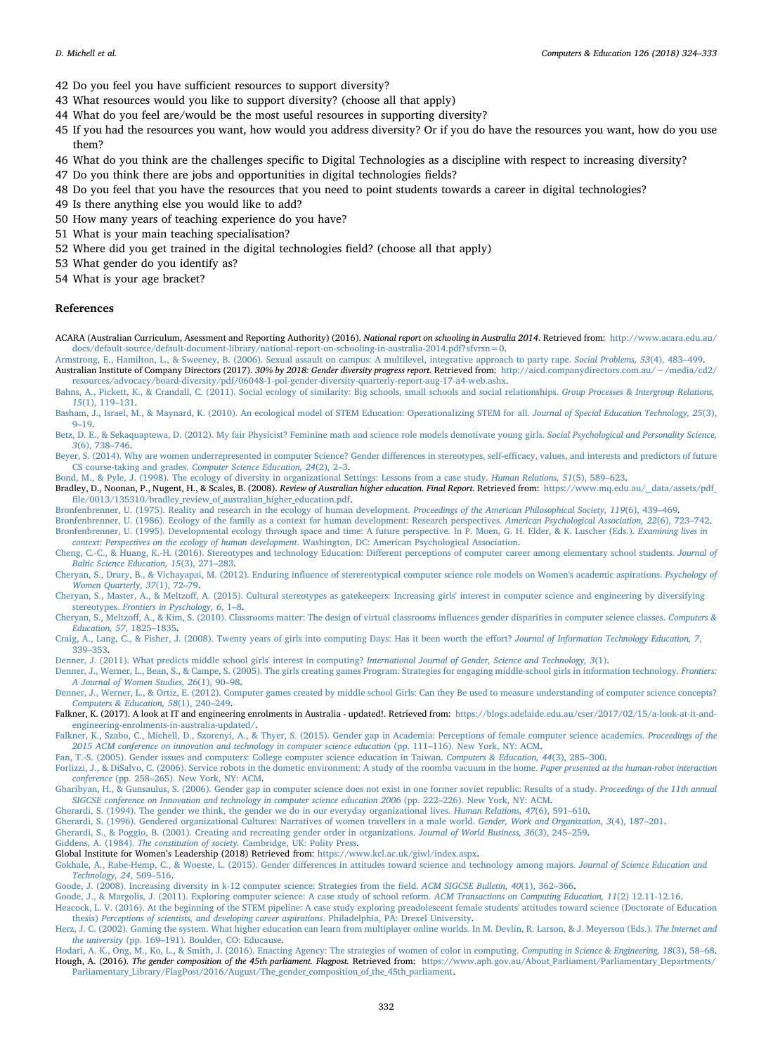- 42 Do you feel you have sufficient resources to support diversity?
- 43 What resources would you like to support diversity? (choose all that apply)
- 44 What do you feel are/would be the most useful resources in supporting diversity?
- 45 If you had the resources you want, how would you address diversity? Or if you do have the resources you want, how do you use them?
- 46 What do you think are the challenges specific to Digital Technologies as a discipline with respect to increasing diversity?
- 47 Do you think there are jobs and opportunities in digital technologies fields?
- 48 Do you feel that you have the resources that you need to point students towards a career in digital technologies?
- 49 Is there anything else you would like to add?
- 50 How many years of teaching experience do you have?
- 51 What is your main teaching specialisation?
- 52 Where did you get trained in the digital technologies field? (choose all that apply)
- 53 What gender do you identify as?
- 54 What is your age bracket?

## References

- <span id="page-8-35"></span>ACARA (Australian Curriculum, Asessment and Reporting Authority) (2016). National report on schooling in Australia 2014. Retrieved from: [http://www.acara.edu.au/](http://www.acara.edu.au/docs/default-source/default-document-library/national-report-on-schooling-in-australia-2014.pdf?sfvrsn=0) [docs/default-source/default-document-library/national-report-on-schooling-in-australia-2014.pdf?sfvrsn=0](http://www.acara.edu.au/docs/default-source/default-document-library/national-report-on-schooling-in-australia-2014.pdf?sfvrsn=0).
- <span id="page-8-34"></span><span id="page-8-1"></span>[Armstrong, E., Hamilton, L., & Sweeney, B. \(2006\). Sexual assault on campus: A multilevel, integrative approach to party rape.](http://refhub.elsevier.com/S0360-1315(18)30202-1/sref2) Social Problems, 53(4), 483–499. Australian Institute of Company Directors (2017). 30% by 2018: Gender diversity progress report. Retrieved from: [http://aicd.companydirectors.com.au/](http://aicd.companydirectors.com.au/%7E/media/cd2/resources/advocacy/board-diversity/pdf/06048-1-pol-gender-diversity-quarterly-report-aug-17-a4-web.ashx)∼/media/cd2/

<span id="page-8-29"></span>[resources/advocacy/board-diversity/pdf/06048-1-pol-gender-diversity-quarterly-report-aug-17-a4-web.ashx](http://aicd.companydirectors.com.au/%7E/media/cd2/resources/advocacy/board-diversity/pdf/06048-1-pol-gender-diversity-quarterly-report-aug-17-a4-web.ashx). [Bahns, A., Pickett, K., & Crandall, C. \(2011\). Social ecology of similarity: Big schools, small schools and social relationships.](http://refhub.elsevier.com/S0360-1315(18)30202-1/sref4) Group Processes & Intergroup Relations,

<span id="page-8-5"></span>15[\(1\), 119](http://refhub.elsevier.com/S0360-1315(18)30202-1/sref4)–131. [Basham, J., Israel, M., & Maynard, K. \(2010\). An ecological model of STEM Education: Operationalizing STEM for all.](http://refhub.elsevier.com/S0360-1315(18)30202-1/sref5) Journal of Special Education Technology, 25(3),

<span id="page-8-12"></span>9–[19.](http://refhub.elsevier.com/S0360-1315(18)30202-1/sref5) [Betz, D. E., & Sekaquaptewa, D. \(2012\). My fair Physicist? Feminine math and science role models demotivate young girls.](http://refhub.elsevier.com/S0360-1315(18)30202-1/sref6) Social Psychological and Personality Science, 3[\(6\), 738](http://refhub.elsevier.com/S0360-1315(18)30202-1/sref6)–746.

<span id="page-8-6"></span>[Beyer, S. \(2014\). Why are women underrepresented in computer Science? Gender di](http://refhub.elsevier.com/S0360-1315(18)30202-1/sref7)fferences in stereotypes, self-efficacy, values, and interests and predictors of future CS course-taking and grades. [Computer Science Education, 24](http://refhub.elsevier.com/S0360-1315(18)30202-1/sref7)(2), 2–3.

<span id="page-8-26"></span>[Bond, M., & Pyle, J. \(1998\). The ecology of diversity in organizational Settings: Lessons from a case study.](http://refhub.elsevier.com/S0360-1315(18)30202-1/sref8) Human Relations, 51(5), 589–623.

<span id="page-8-36"></span>Bradley, D., Noonan, P., Nugent, H., & Scales, B. (2008). Review of Australian higher education. Final Report. Retrieved from: https://www.mq.edu.au/\_data/assets/pdf\_ fi[le/0013/135310/bradley\\_review\\_of\\_australian\\_higher\\_education.pdf.](https://www.mq.edu.au/__data/assets/pdf_file/0013/135310/bradley_review_of_australian_higher_education.pdf)

<span id="page-8-27"></span>[Bronfenbrenner, U. \(1975\). Reality and research in the ecology of human development.](http://refhub.elsevier.com/S0360-1315(18)30202-1/sref10) Proceedings of the American Philosophical Society, 119(6), 439–469.

<span id="page-8-30"></span><span id="page-8-28"></span>[Bronfenbrenner, U. \(1986\). Ecology of the family as a context for human development: Research perspectives.](http://refhub.elsevier.com/S0360-1315(18)30202-1/sref11) American Psychological Association, 22(6), 723–742. [Bronfenbrenner, U. \(1995\). Developmental ecology through space and time: A future perspective. In P. Moen, G. H. Elder, & K. Luscher \(Eds.\).](http://refhub.elsevier.com/S0360-1315(18)30202-1/sref12) Examining lives in [context: Perspectives on the ecology of human development](http://refhub.elsevier.com/S0360-1315(18)30202-1/sref12). Washington, DC: American Psychological Association.

<span id="page-8-20"></span>[Cheng, C.-C., & Huang, K.-H. \(2016\). Stereotypes and technology Education: Di](http://refhub.elsevier.com/S0360-1315(18)30202-1/sref13)fferent perceptions of computer career among elementary school students. Journal of [Baltic Science Education, 15](http://refhub.elsevier.com/S0360-1315(18)30202-1/sref13)(3), 271–283.

<span id="page-8-19"></span>Cheryan, S., Drury, B., & Vichayapai, M. (2012). Enduring infl[uence of sterereotypical computer science role models on Women's academic aspirations.](http://refhub.elsevier.com/S0360-1315(18)30202-1/sref14) Psychology of [Women Quarterly, 37](http://refhub.elsevier.com/S0360-1315(18)30202-1/sref14)(1), 72–79.

<span id="page-8-13"></span>Cheryan, S., Master, A., & Meltzoff, [A. \(2015\). Cultural stereotypes as gatekeepers: Increasing girls' interest in computer science and engineering by diversifying](http://refhub.elsevier.com/S0360-1315(18)30202-1/sref15) stereotypes. [Frontiers in Pyschology, 6](http://refhub.elsevier.com/S0360-1315(18)30202-1/sref15), 1–8.

<span id="page-8-17"></span>Cheryan, S., Meltzoff[, A., & Kim, S. \(2010\). Classrooms matter: The design of virtual classrooms in](http://refhub.elsevier.com/S0360-1315(18)30202-1/sref16)fluences gender disparities in computer science classes. Computers & [Education, 57](http://refhub.elsevier.com/S0360-1315(18)30202-1/sref16), 1825–1835.

<span id="page-8-7"></span>[Craig, A., Lang, C., & Fisher, J. \(2008\). Twenty years of girls into computing Days: Has it been worth the e](http://refhub.elsevier.com/S0360-1315(18)30202-1/sref17)ffort? Journal of Information Technology Education, 7, 339–[353.](http://refhub.elsevier.com/S0360-1315(18)30202-1/sref17)

<span id="page-8-8"></span>[Denner, J. \(2011\). What predicts middle school girls' interest in computing?](http://refhub.elsevier.com/S0360-1315(18)30202-1/sref19) International Journal of Gender, Science and Technology, 3(1).

<span id="page-8-9"></span>[Denner, J., Werner, L., Bean, S., & Campe, S. \(2005\). The girls creating games Program: Strategies for engaging middle-school girls in information technology.](http://refhub.elsevier.com/S0360-1315(18)30202-1/sref20) Frontiers: [A Journal of Women Studies, 26](http://refhub.elsevier.com/S0360-1315(18)30202-1/sref20)(1), 90–98.

<span id="page-8-10"></span>[Denner, J., Werner, L., & Ortiz, E. \(2012\). Computer games created by middle school Girls: Can they Be used to measure understanding of computer science concepts?](http://refhub.elsevier.com/S0360-1315(18)30202-1/sref21) [Computers & Education, 58](http://refhub.elsevier.com/S0360-1315(18)30202-1/sref21)(1), 240–249.

<span id="page-8-3"></span>Falkner, K. (2017). A look at IT and engineering enrolments in Australia - updated!. Retrieved from: [https://blogs.adelaide.edu.au/cser/2017/02/15/a-look-at-it-and](https://blogs.adelaide.edu.au/cser/2017/02/15/a-look-at-it-and-engineering-enrolments-in-australia-updated/)[engineering-enrolments-in-australia-updated/.](https://blogs.adelaide.edu.au/cser/2017/02/15/a-look-at-it-and-engineering-enrolments-in-australia-updated/)

<span id="page-8-4"></span>[Falkner, K., Szabo, C., Michell, D., Szorenyi, A., & Thyer, S. \(2015\). Gender gap in Academia: Perceptions of female computer science academics.](http://refhub.elsevier.com/S0360-1315(18)30202-1/sref23) Proceedings of the [2015 ACM conference on innovation and technology in computer science education](http://refhub.elsevier.com/S0360-1315(18)30202-1/sref23) (pp. 111–116). New York, NY: ACM.

<span id="page-8-21"></span>[Fan, T.-S. \(2005\). Gender issues and computers: College computer science education in Taiwan.](http://refhub.elsevier.com/S0360-1315(18)30202-1/sref24) Computers & Education, 44(3), 285–300.

<span id="page-8-32"></span>[Forlizzi, J., & DiSalvo, C. \(2006\). Service robots in the dometic environment: A study of the roomba vacuum in the home.](http://refhub.elsevier.com/S0360-1315(18)30202-1/sref25) Paper presented at the human-robot interaction conference (pp. 258–[265\). New York, NY: ACM](http://refhub.elsevier.com/S0360-1315(18)30202-1/sref25).

<span id="page-8-22"></span>[Gharibyan, H., & Gunsaulus, S. \(2006\). Gender gap in computer science does not exist in one former soviet republic: Results of a study.](http://refhub.elsevier.com/S0360-1315(18)30202-1/sref26) Proceedings of the 11th annual [SIGCSE conference on Innovation and technology in computer science education 2006](http://refhub.elsevier.com/S0360-1315(18)30202-1/sref26) (pp. 222–226). New York, NY: ACM.

<span id="page-8-24"></span>[Gherardi, S. \(1994\). The gender we think, the gender we do in our everyday organizational lives.](http://refhub.elsevier.com/S0360-1315(18)30202-1/sref27) Human Relations, 47(6), 591–610.

<span id="page-8-23"></span>[Gherardi, S. \(1996\). Gendered organizational Cultures: Narratives of women travellers in a male world.](http://refhub.elsevier.com/S0360-1315(18)30202-1/sref28) Gender, Work and Organization, 3(4), 187–201.

<span id="page-8-18"></span>[Gherardi, S., & Poggio, B. \(2001\). Creating and recreating gender order in organizations.](http://refhub.elsevier.com/S0360-1315(18)30202-1/sref29) Journal of World Business, 36(3), 245–259.

<span id="page-8-33"></span>Giddens, A. (1984). The constitution of society. [Cambridge, UK: Polity Press](http://refhub.elsevier.com/S0360-1315(18)30202-1/sref30).

<span id="page-8-2"></span>Global Institute for Women's Leadership (2018) Retrieved from: <https://www.kcl.ac.uk/giwl/index.aspx>.

<span id="page-8-14"></span>Gokhale, A., Rabe-Hemp, C., & Woeste, L. (2015). Gender diff[erences in attitudes toward science and technology among majors.](http://refhub.elsevier.com/S0360-1315(18)30202-1/sref32) Journal of Science Education and [Technology, 24](http://refhub.elsevier.com/S0360-1315(18)30202-1/sref32), 509–516.

<span id="page-8-16"></span>[Goode, J. \(2008\). Increasing diversity in k-12 computer science: Strategies from the](http://refhub.elsevier.com/S0360-1315(18)30202-1/sref33) field. ACM SIGCSE Bulletin, 40(1), 362–366.

<span id="page-8-15"></span><span id="page-8-11"></span>[Goode, J., & Margolis, J. \(2011\). Exploring computer science: A case study of school reform.](http://refhub.elsevier.com/S0360-1315(18)30202-1/sref34) ACM Transactions on Computing Education, 11(2) 12.11-12.16. [Heacock, L. V. \(2016\). At the beginning of the STEM pipeline: A case study exploring preadolescent female students' attitudes toward science \(Doctorate of Education](http://refhub.elsevier.com/S0360-1315(18)30202-1/sref35) thesis) [Perceptions of scientists, and developing career aspirations](http://refhub.elsevier.com/S0360-1315(18)30202-1/sref35). Philadelphia, PA: Drexel University.

<span id="page-8-31"></span>[Herz, J. C. \(2002\). Gaming the system. What higher education can learn from multiplayer online worlds. In M. Devlin, R. Larson, & J. Meyerson \(Eds.\).](http://refhub.elsevier.com/S0360-1315(18)30202-1/sref36) The Internet and the university (pp. 169–[191\). Boulder, CO: Educause](http://refhub.elsevier.com/S0360-1315(18)30202-1/sref36).

<span id="page-8-25"></span><span id="page-8-0"></span>[Hodari, A. K., Ong, M., Ko, L., & Smith, J. \(2016\). Enacting Agency: The strategies of women of color in computing.](http://refhub.elsevier.com/S0360-1315(18)30202-1/sref37) Computing in Science & Engineering, 18(3), 58-68. Hough, A. (2016). The gender composition of the 45th parliament. Flagpost. Retrieved from: [https://www.aph.gov.au/About\\_Parliament/Parliamentary\\_Departments/](https://www.aph.gov.au/About_Parliament/Parliamentary_Departments/Parliamentary_Library/FlagPost/2016/August/The_gender_composition_of_the_45th_parliament) [Parliamentary\\_Library/FlagPost/2016/August/The\\_gender\\_composition\\_of\\_the\\_45th\\_parliament](https://www.aph.gov.au/About_Parliament/Parliamentary_Departments/Parliamentary_Library/FlagPost/2016/August/The_gender_composition_of_the_45th_parliament).